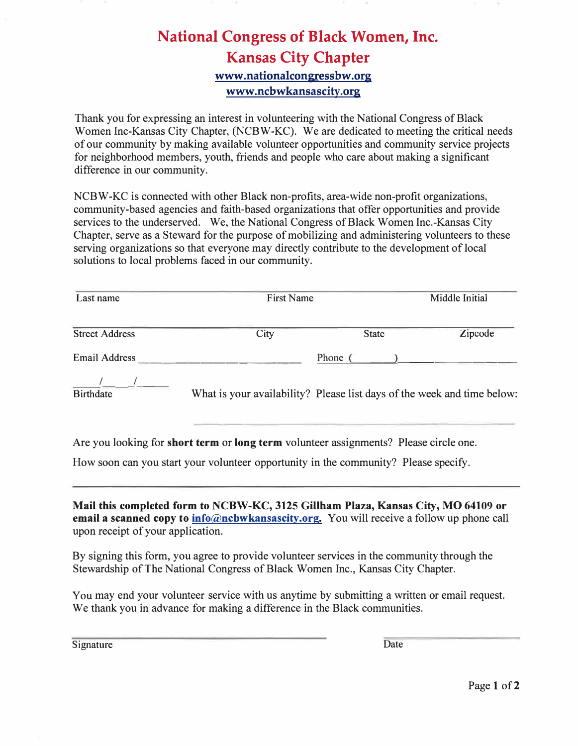## **National Congress of Black Women, Inc. Kansas City Chapter www.nationalcongressbw.org www.ncbwkansascity.org**

Thank you for expressing an interest in volunteering with the National Congress of Black Women Inc-Kansas City Chapter, (NCBW-KC). We are dedicated to meeting the critical needs of our community by making available volunteer opportunities and community service projects for neighborhood members, youth, friends and people who care about making a significant difference in our community.

NCBW-KC is connected with other Black non-profits, area-wide non-profit organizations, community-based agencies and faith-based organizations that offer opportunities and provide services to the underserved. We, the National Congress of Black Women Inc.-Kansas City Chapter, serve as a Steward for the purpose of mobilizing and administering volunteers to these serving organizations so that everyone may directly contribute to the development of local solutions to local problems faced in our community.

| Last name             | <b>First Name</b>                                                       | Middle Initial |         |
|-----------------------|-------------------------------------------------------------------------|----------------|---------|
| <b>Street Address</b> | City                                                                    | <b>State</b>   | Zipcode |
| <b>Email Address</b>  |                                                                         | Phone (        |         |
| <b>Birthdate</b>      | What is your availability? Please list days of the week and time below: |                |         |

Are you looking for **short term or long term** volunteer assignments? Please circle one.

How soon can you start your volunteer opportunity in the community? Please specify.

**Mail this completed form to NCBW-KC, 3125 Gillham Plaza, Kansas City, MO 64109 or email a scanned copy to info@ncbwkansascity.org.** You will receive a follow up phone call upon receipt of your application.

By signing this form, you agree to provide volunteer services in the community through the Stewardship of The National Congress of Black Women Inc., Kansas City Chapter.

You may end your volunteer service with us anytime by submitting a written or email request. We thank you in advance for making a difference in the Black communities.

Signature Date